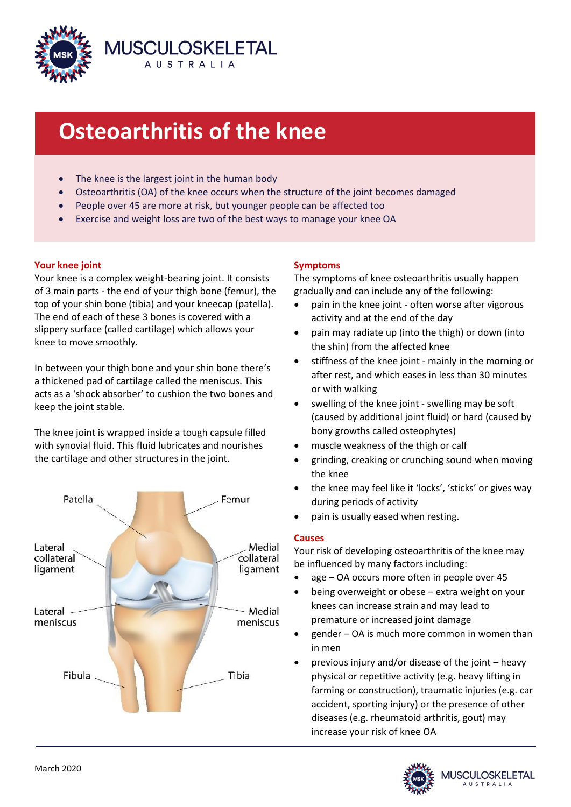

# **Osteoarthritis of the knee**

- The knee is the largest joint in the human body
- Osteoarthritis (OA) of the knee occurs when the structure of the joint becomes damaged
- People over 45 are more at risk, but younger people can be affected too
- Exercise and weight loss are two of the best ways to manage your knee OA

# **Your knee joint**

 $\overline{\phantom{a}}$ 

Your knee is a complex weight-bearing joint. It consists of 3 main parts - the end of your thigh bone (femur), the top of your shin bone (tibia) and your kneecap (patella). The end of each of these 3 bones is covered with a slippery surface (called cartilage) which allows your knee to move smoothly.

In between your thigh bone and your shin bone there's a thickened pad of cartilage called the meniscus. This acts as a 'shock absorber' to cushion the two bones and keep the joint stable.

The knee joint is wrapped inside a tough capsule filled with synovial fluid. This fluid lubricates and nourishes the cartilage and other structures in the joint.



# **Symptoms**

The symptoms of knee osteoarthritis usually happen gradually and can include any of the following:

- pain in the knee joint often worse after vigorous activity and at the end of the day
- pain may radiate up (into the thigh) or down (into the shin) from the affected knee
- stiffness of the knee joint mainly in the morning or after rest, and which eases in less than 30 minutes or with walking
- swelling of the knee joint swelling may be soft (caused by additional joint fluid) or hard (caused by bony growths called osteophytes)
- muscle weakness of the thigh or calf
- grinding, creaking or crunching sound when moving the knee
- the knee may feel like it 'locks', 'sticks' or gives way during periods of activity
- pain is usually eased when resting.

# **Causes**

Your risk of developing osteoarthritis of the knee may be influenced by many factors including:

- age OA occurs more often in people over 45
- being overweight or obese extra weight on your knees can increase strain and may lead to premature or increased joint damage
- gender OA is much more common in women than in men
- previous injury and/or disease of the joint heavy physical or repetitive activity (e.g. heavy lifting in farming or construction), traumatic injuries (e.g. car accident, sporting injury) or the presence of other diseases (e.g. rheumatoid arthritis, gout) may increase your risk of knee OA

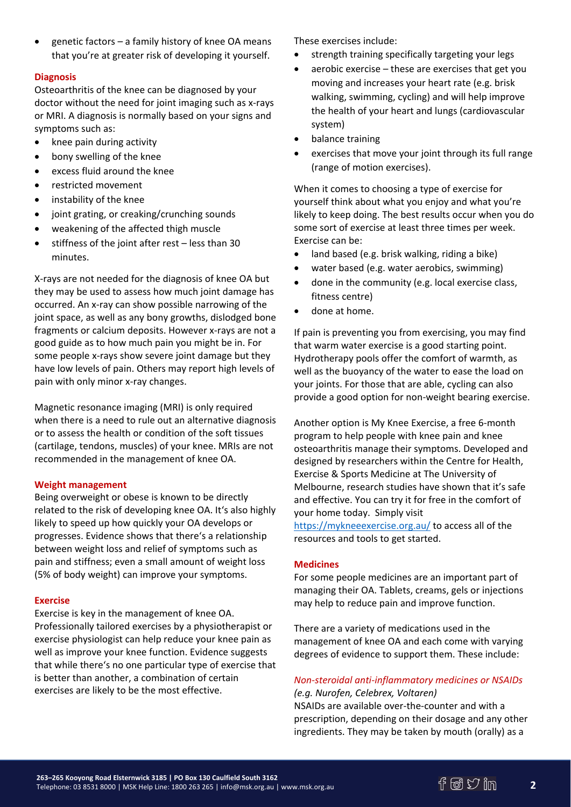genetic factors – a family history of knee OA means that you're at greater risk of developing it yourself.

# **Diagnosis**

Osteoarthritis of the knee can be diagnosed by your doctor without the need for joint imaging such as x-rays or MRI. A diagnosis is normally based on your signs and symptoms such as:

- knee pain during activity
- bony swelling of the knee
- excess fluid around the knee
- restricted movement
- instability of the knee
- joint grating, or creaking/crunching sounds
- weakening of the affected thigh muscle
- stiffness of the joint after rest less than 30 minutes.

X-rays are not needed for the diagnosis of knee OA but they may be used to assess how much joint damage has occurred. An x-ray can show possible narrowing of the joint space, as well as any bony growths, dislodged bone fragments or calcium deposits. However x-rays are not a good guide as to how much pain you might be in. For some people x-rays show severe joint damage but they have low levels of pain. Others may report high levels of pain with only minor x-ray changes.

Magnetic resonance imaging (MRI) is only required when there is a need to rule out an alternative diagnosis or to assess the health or condition of the soft tissues (cartilage, tendons, muscles) of your knee. MRIs are not recommended in the management of knee OA.

## **Weight management**

Being overweight or obese is known to be directly related to the risk of developing knee OA. It's also highly likely to speed up how quickly your OA develops or progresses. Evidence shows that there's a relationship between weight loss and relief of symptoms such as pain and stiffness; even a small amount of weight loss (5% of body weight) can improve your symptoms.

#### **Exercise**

Exercise is key in the management of knee OA. Professionally tailored exercises by a physiotherapist or exercise physiologist can help reduce your knee pain as well as improve your knee function. Evidence suggests that while there's no one particular type of exercise that is better than another, a combination of certain exercises are likely to be the most effective.

These exercises include:

- strength training specifically targeting your legs
- aerobic exercise these are exercises that get you moving and increases your heart rate (e.g. brisk walking, swimming, cycling) and will help improve the health of your heart and lungs (cardiovascular system)
- balance training
- exercises that move your joint through its full range (range of motion exercises).

When it comes to choosing a type of exercise for yourself think about what you enjoy and what you're likely to keep doing. The best results occur when you do some sort of exercise at least three times per week. Exercise can be:

- land based (e.g. brisk walking, riding a bike)
- water based (e.g. water aerobics, swimming)
- done in the community (e.g. local exercise class, fitness centre)
- done at home.

If pain is preventing you from exercising, you may find that warm water exercise is a good starting point. Hydrotherapy pools offer the comfort of warmth, as well as the buoyancy of the water to ease the load on your joints. For those that are able, cycling can also provide a good option for non-weight bearing exercise.

Another option is My Knee Exercise, a free 6-month program to help people with knee pain and knee osteoarthritis manage their symptoms. Developed and designed by researchers within the Centre for Health, Exercise & Sports Medicine at The University of Melbourne, research studies have shown that it's safe and effective. You can try it for free in the comfort of your home today. Simply visit <https://mykneeexercise.org.au/> to access all of the resources and tools to get started.

## **Medicines**

For some people medicines are an important part of managing their OA. Tablets, creams, gels or injections may help to reduce pain and improve function.

There are a variety of medications used in the management of knee OA and each come with varying degrees of evidence to support them. These include:

# *Non-steroidal anti-inflammatory medicines or NSAIDs*

*(e.g. Nurofen, Celebrex, Voltaren)*

NSAIDs are available over-the-counter and with a prescription, depending on their dosage and any other ingredients. They may be taken by mouth (orally) as a

**2**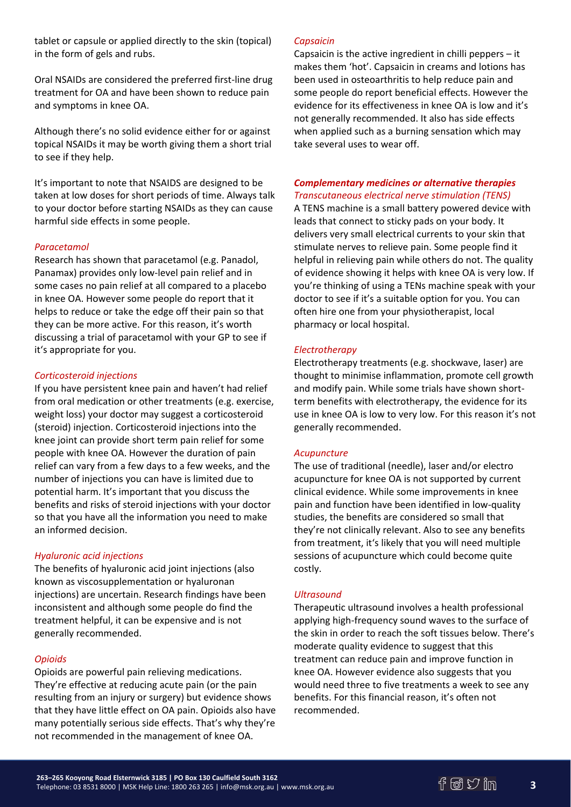tablet or capsule or applied directly to the skin (topical) in the form of gels and rubs.

Oral NSAIDs are considered the preferred first-line drug treatment for OA and have been shown to reduce pain and symptoms in knee OA.

Although there's no solid evidence either for or against topical NSAIDs it may be worth giving them a short trial to see if they help.

It's important to note that NSAIDS are designed to be taken at low doses for short periods of time. Always talk to your doctor before starting NSAIDs as they can cause harmful side effects in some people.

## *Paracetamol*

Research has shown that paracetamol (e.g. Panadol, Panamax) provides only low-level pain relief and in some cases no pain relief at all compared to a placebo in knee OA. However some people do report that it helps to reduce or take the edge off their pain so that they can be more active. For this reason, it's worth discussing a trial of paracetamol with your GP to see if it's appropriate for you.

## *Corticosteroid injections*

If you have persistent knee pain and haven't had relief from oral medication or other treatments (e.g. exercise, weight loss) your doctor may suggest a corticosteroid (steroid) injection. Corticosteroid injections into the knee joint can provide short term pain relief for some people with knee OA. However the duration of pain relief can vary from a few days to a few weeks, and the number of injections you can have is limited due to potential harm. It's important that you discuss the benefits and risks of steroid injections with your doctor so that you have all the information you need to make an informed decision.

## *Hyaluronic acid injections*

The benefits of hyaluronic acid joint injections (also known as viscosupplementation or hyaluronan injections) are uncertain. Research findings have been inconsistent and although some people do find the treatment helpful, it can be expensive and is not generally recommended.

# *Opioids*

Opioids are powerful pain relieving medications. They're effective at reducing acute pain (or the pain resulting from an injury or surgery) but evidence shows that they have little effect on OA pain. Opioids also have many potentially serious side effects. That's why they're not recommended in the management of knee OA.

## *Capsaicin*

Capsaicin is the active ingredient in chilli peppers – it makes them 'hot'. Capsaicin in creams and lotions has been used in osteoarthritis to help reduce pain and some people do report beneficial effects. However the evidence for its effectiveness in knee OA is low and it's not generally recommended. It also has side effects when applied such as a burning sensation which may take several uses to wear off.

#### *Complementary medicines or alternative therapies Transcutaneous electrical nerve stimulation (TENS)*

A TENS machine is a small battery powered device with leads that connect to sticky pads on your body. It delivers very small electrical currents to your skin that stimulate nerves to relieve pain. Some people find it helpful in relieving pain while others do not. The quality of evidence showing it helps with knee OA is very low. If you're thinking of using a TENs machine speak with your doctor to see if it's a suitable option for you. You can often hire one from your physiotherapist, local pharmacy or local hospital.

# *Electrotherapy*

Electrotherapy treatments (e.g. shockwave, laser) are thought to minimise inflammation, promote cell growth and modify pain. While some trials have shown shortterm benefits with electrotherapy, the evidence for its use in knee OA is low to very low. For this reason it's not generally recommended.

## *Acupuncture*

The use of traditional (needle), laser and/or electro acupuncture for knee OA is not supported by current clinical evidence. While some improvements in knee pain and function have been identified in low-quality studies, the benefits are considered so small that they're not clinically relevant. Also to see any benefits from treatment, it's likely that you will need multiple sessions of acupuncture which could become quite costly.

## *Ultrasound*

Therapeutic ultrasound involves a health professional applying high-frequency sound waves to the surface of the skin in order to reach the soft tissues below. There's moderate quality evidence to suggest that this treatment can reduce pain and improve function in knee OA. However evidence also suggests that you would need three to five treatments a week to see any benefits. For this financial reason, it's often not recommended.

**3**